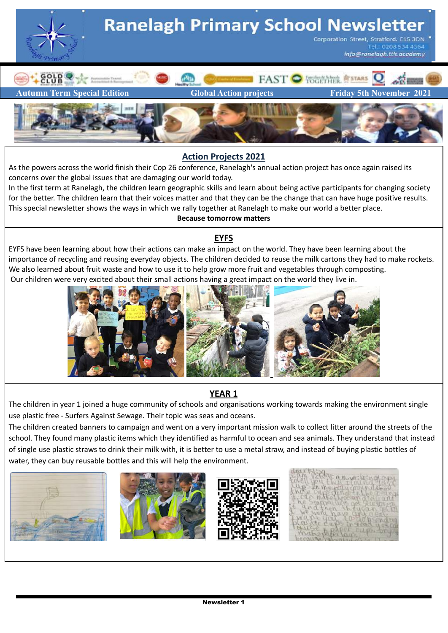

#### **Action Projects 2021**

As the powers across the world finish their Cop 26 conference, Ranelagh's annual action project has once again raised its concerns over the global issues that are damaging our world today.

In the first term at Ranelagh, the children learn geographic skills and learn about being active participants for changing society for the better. The children learn that their voices matter and that they can be the change that can have huge positive results. This special newsletter shows the ways in which we rally together at Ranelagh to make our world a better place. **Because tomorrow matters**

## **EYFS**

EYFS have been learning about how their actions can make an impact on the world. They have been learning about the importance of recycling and reusing everyday objects. The children decided to reuse the milk cartons they had to make rockets. We also learned about fruit waste and how to use it to help grow more fruit and vegetables through composting. Our children were very excited about their small actions having a great impact on the world they live in.



## **YEAR 1**

The children in year 1 joined a huge community of schools and organisations working towards making the environment single use plastic free - Surfers Against Sewage. Their topic was seas and oceans.

The children created banners to campaign and went on a very important mission walk to collect litter around the streets of the school. They found many plastic items which they identified as harmful to ocean and sea animals. They understand that instead of single use plastic straws to drink their milk with, it is better to use a metal straw, and instead of buying plastic bottles of water, they can buy reusable bottles and this will help the environment.





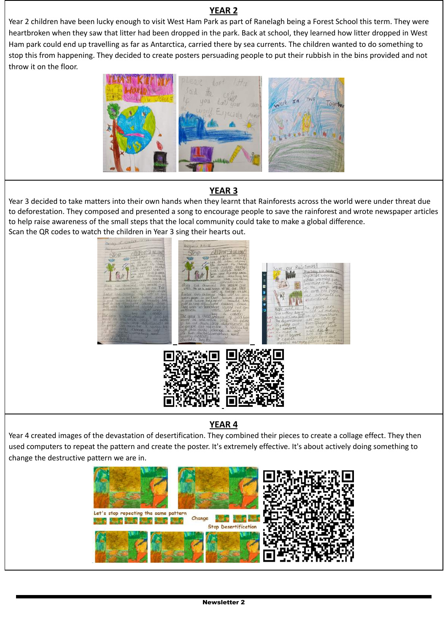#### **YEAR 2**

Year 2 children have been lucky enough to visit West Ham Park as part of Ranelagh being a Forest School this term. They were heartbroken when they saw that litter had been dropped in the park. Back at school, they learned how litter dropped in West Ham park could end up travelling as far as Antarctica, carried there by sea currents. The children wanted to do something to stop this from happening. They decided to create posters persuading people to put their rubbish in the bins provided and not throw it on the floor.



# **YEAR 3**

Year 3 decided to take matters into their own hands when they learnt that Rainforests across the world were under threat due to deforestation. They composed and presented a song to encourage people to save the rainforest and wrote newspaper articles to help raise awareness of the small steps that the local community could take to make a global difference. Scan the QR codes to watch the children in Year 3 sing their hearts out.



## **YEAR 4**

Year 4 created images of the devastation of desertification. They combined their pieces to create a collage effect. They then used computers to repeat the pattern and create the poster. It's extremely effective. It's about actively doing something to change the destructive pattern we are in.